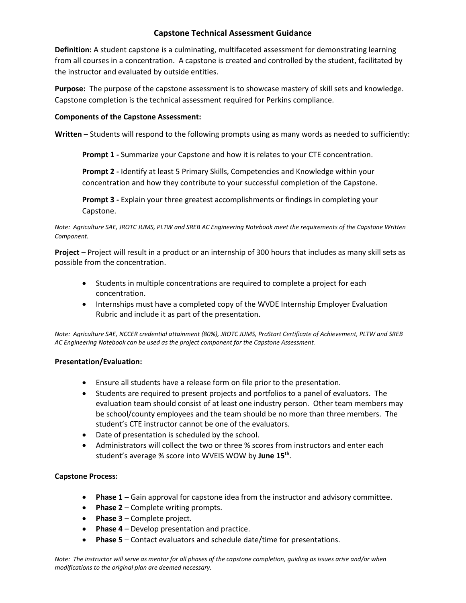**Definition:** A student capstone is a culminating, multifaceted assessment for demonstrating learning from all courses in a concentration. A capstone is created and controlled by the student, facilitated by the instructor and evaluated by outside entities.

**Purpose:** The purpose of the capstone assessment is to showcase mastery of skill sets and knowledge. Capstone completion is the technical assessment required for Perkins compliance.

### **Components of the Capstone Assessment:**

**Written** – Students will respond to the following prompts using as many words as needed to sufficiently:

**Prompt 1 -** Summarize your Capstone and how it is relates to your CTE concentration.

**Prompt 2 -** Identify at least 5 Primary Skills, Competencies and Knowledge within your concentration and how they contribute to your successful completion of the Capstone.

**Prompt 3 -** Explain your three greatest accomplishments or findings in completing your Capstone.

*Note: Agriculture SAE, JROTC JUMS, PLTW and SREB AC Engineering Notebook meet the requirements of the Capstone Written Component.*

**Project** – Project will result in a product or an internship of 300 hours that includes as many skill sets as possible from the concentration.

- Students in multiple concentrations are required to complete a project for each concentration.
- Internships must have a completed copy of the WVDE Internship Employer Evaluation Rubric and include it as part of the presentation.

*Note: Agriculture SAE, NCCER credential attainment (80%), JROTC JUMS, ProStart Certificate of Achievement, PLTW and SREB AC Engineering Notebook can be used as the project component for the Capstone Assessment.* 

#### **Presentation/Evaluation:**

- Ensure all students have a release form on file prior to the presentation.
- Students are required to present projects and portfolios to a panel of evaluators. The evaluation team should consist of at least one industry person. Other team members may be school/county employees and the team should be no more than three members. The student's CTE instructor cannot be one of the evaluators.
- Date of presentation is scheduled by the school.
- Administrators will collect the two or three % scores from instructors and enter each student's average % score into WVEIS WOW by **June 15th** .

#### **Capstone Process:**

- **Phase 1** Gain approval for capstone idea from the instructor and advisory committee.
- **Phase 2** Complete writing prompts.
- **Phase 3**  Complete project.
- **Phase 4** Develop presentation and practice.
- **Phase 5** Contact evaluators and schedule date/time for presentations.

*Note: The instructor will serve as mentor for all phases of the capstone completion, guiding as issues arise and/or when modifications to the original plan are deemed necessary.*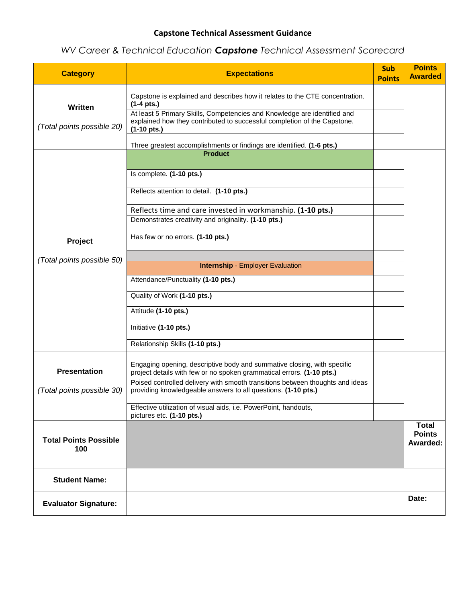# *WV Career & Technical Education Capstone Technical Assessment Scorecard*

| <b>Category</b>                     | <b>Expectations</b>                                                                                                                                                           | <b>Sub</b><br><b>Points</b> | <b>Points</b><br><b>Awarded</b>           |
|-------------------------------------|-------------------------------------------------------------------------------------------------------------------------------------------------------------------------------|-----------------------------|-------------------------------------------|
| Written                             | Capstone is explained and describes how it relates to the CTE concentration.<br>$(1-4 \text{ pts.})$                                                                          |                             |                                           |
| (Total points possible 20)          | At least 5 Primary Skills, Competencies and Knowledge are identified and<br>explained how they contributed to successful completion of the Capstone.<br>$(1-10 \text{ pts.})$ |                             |                                           |
|                                     | Three greatest accomplishments or findings are identified. (1-6 pts.)                                                                                                         |                             |                                           |
|                                     | <b>Product</b>                                                                                                                                                                |                             |                                           |
|                                     | Is complete. (1-10 pts.)                                                                                                                                                      |                             |                                           |
|                                     | Reflects attention to detail. (1-10 pts.)                                                                                                                                     |                             |                                           |
|                                     | Reflects time and care invested in workmanship. (1-10 pts.)<br>Demonstrates creativity and originality. (1-10 pts.)                                                           |                             |                                           |
| Project                             | Has few or no errors. (1-10 pts.)                                                                                                                                             |                             |                                           |
| (Total points possible 50)          |                                                                                                                                                                               |                             |                                           |
|                                     | <b>Internship - Employer Evaluation</b>                                                                                                                                       |                             |                                           |
|                                     | Attendance/Punctuality (1-10 pts.)<br>Quality of Work (1-10 pts.)                                                                                                             |                             |                                           |
|                                     | Attitude (1-10 pts.)                                                                                                                                                          |                             |                                           |
|                                     | Initiative (1-10 pts.)                                                                                                                                                        |                             |                                           |
|                                     | Relationship Skills (1-10 pts.)                                                                                                                                               |                             |                                           |
| <b>Presentation</b>                 | Engaging opening, descriptive body and summative closing, with specific<br>project details with few or no spoken grammatical errors. (1-10 pts.)                              |                             |                                           |
| (Total points possible 30)          | Poised controlled delivery with smooth transitions between thoughts and ideas<br>providing knowledgeable answers to all questions. (1-10 pts.)                                |                             |                                           |
|                                     | Effective utilization of visual aids, i.e. PowerPoint, handouts,<br>pictures etc. (1-10 pts.)                                                                                 |                             |                                           |
| <b>Total Points Possible</b><br>100 |                                                                                                                                                                               |                             | <b>Total</b><br><b>Points</b><br>Awarded: |
| <b>Student Name:</b>                |                                                                                                                                                                               |                             |                                           |
| <b>Evaluator Signature:</b>         |                                                                                                                                                                               |                             | Date:                                     |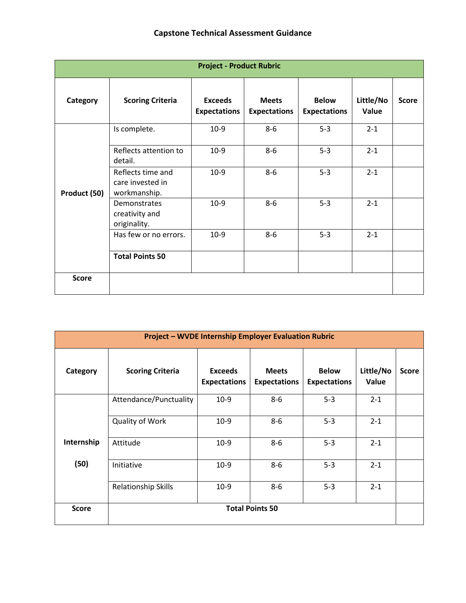| <b>Project - Product Rubric</b> |                                                       |                                       |                                     |                                     |                    |              |
|---------------------------------|-------------------------------------------------------|---------------------------------------|-------------------------------------|-------------------------------------|--------------------|--------------|
| Category                        | <b>Scoring Criteria</b>                               | <b>Exceeds</b><br><b>Expectations</b> | <b>Meets</b><br><b>Expectations</b> | <b>Below</b><br><b>Expectations</b> | Little/No<br>Value | <b>Score</b> |
| Product (50)                    | Is complete.                                          | $10-9$                                | $8 - 6$                             | $5 - 3$                             | $2 - 1$            |              |
|                                 | Reflects attention to<br>detail.                      | $10-9$                                | $8-6$                               | $5 - 3$                             | $2 - 1$            |              |
|                                 | Reflects time and<br>care invested in<br>workmanship. | $10-9$                                | $8-6$                               | $5 - 3$                             | $2 - 1$            |              |
|                                 | Demonstrates<br>creativity and<br>originality.        | $10-9$                                | $8 - 6$                             | $5 - 3$                             | $2 - 1$            |              |
|                                 | Has few or no errors.                                 | $10-9$                                | $8-6$                               | $5 - 3$                             | $2 - 1$            |              |
|                                 | <b>Total Points 50</b>                                |                                       |                                     |                                     |                    |              |
| <b>Score</b>                    |                                                       |                                       |                                     |                                     |                    |              |

| <b>Project - WVDE Internship Employer Evaluation Rubric</b> |                            |                                       |                                     |                                     |                    |              |
|-------------------------------------------------------------|----------------------------|---------------------------------------|-------------------------------------|-------------------------------------|--------------------|--------------|
| Category                                                    | <b>Scoring Criteria</b>    | <b>Exceeds</b><br><b>Expectations</b> | <b>Meets</b><br><b>Expectations</b> | <b>Below</b><br><b>Expectations</b> | Little/No<br>Value | <b>Score</b> |
|                                                             | Attendance/Punctuality     | $10-9$                                | $8-6$                               | $5 - 3$                             | $2 - 1$            |              |
|                                                             | <b>Quality of Work</b>     | $10-9$                                | $8-6$                               | $5 - 3$                             | $2 - 1$            |              |
| Internship                                                  | Attitude                   | $10-9$                                | $8-6$                               | $5 - 3$                             | $2 - 1$            |              |
| (50)                                                        | Initiative                 | $10-9$                                | $8-6$                               | $5 - 3$                             | $2 - 1$            |              |
|                                                             | <b>Relationship Skills</b> | $10-9$                                | $8-6$                               | $5 - 3$                             | $2 - 1$            |              |
| <b>Score</b>                                                | <b>Total Points 50</b>     |                                       |                                     |                                     |                    |              |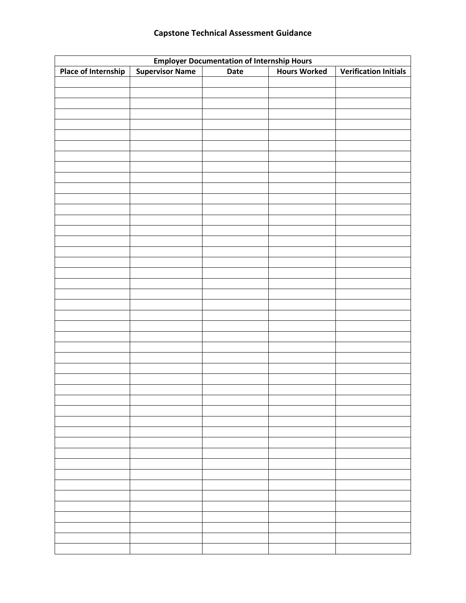| <b>Employer Documentation of Internship Hours</b> |                        |      |                     |                              |  |  |  |
|---------------------------------------------------|------------------------|------|---------------------|------------------------------|--|--|--|
| <b>Place of Internship</b>                        | <b>Supervisor Name</b> | Date | <b>Hours Worked</b> | <b>Verification Initials</b> |  |  |  |
|                                                   |                        |      |                     |                              |  |  |  |
|                                                   |                        |      |                     |                              |  |  |  |
|                                                   |                        |      |                     |                              |  |  |  |
|                                                   |                        |      |                     |                              |  |  |  |
|                                                   |                        |      |                     |                              |  |  |  |
|                                                   |                        |      |                     |                              |  |  |  |
|                                                   |                        |      |                     |                              |  |  |  |
|                                                   |                        |      |                     |                              |  |  |  |
|                                                   |                        |      |                     |                              |  |  |  |
|                                                   |                        |      |                     |                              |  |  |  |
|                                                   |                        |      |                     |                              |  |  |  |
|                                                   |                        |      |                     |                              |  |  |  |
|                                                   |                        |      |                     |                              |  |  |  |
|                                                   |                        |      |                     |                              |  |  |  |
|                                                   |                        |      |                     |                              |  |  |  |
|                                                   |                        |      |                     |                              |  |  |  |
|                                                   |                        |      |                     |                              |  |  |  |
|                                                   |                        |      |                     |                              |  |  |  |
|                                                   |                        |      |                     |                              |  |  |  |
|                                                   |                        |      |                     |                              |  |  |  |
|                                                   |                        |      |                     |                              |  |  |  |
|                                                   |                        |      |                     |                              |  |  |  |
|                                                   |                        |      |                     |                              |  |  |  |
|                                                   |                        |      |                     |                              |  |  |  |
|                                                   |                        |      |                     |                              |  |  |  |
|                                                   |                        |      |                     |                              |  |  |  |
|                                                   |                        |      |                     |                              |  |  |  |
|                                                   |                        |      |                     |                              |  |  |  |
|                                                   |                        |      |                     |                              |  |  |  |
|                                                   |                        |      |                     |                              |  |  |  |
|                                                   |                        |      |                     |                              |  |  |  |
|                                                   |                        |      |                     |                              |  |  |  |
|                                                   |                        |      |                     |                              |  |  |  |
|                                                   |                        |      |                     |                              |  |  |  |
|                                                   |                        |      |                     |                              |  |  |  |
|                                                   |                        |      |                     |                              |  |  |  |
|                                                   |                        |      |                     |                              |  |  |  |
|                                                   |                        |      |                     |                              |  |  |  |
|                                                   |                        |      |                     |                              |  |  |  |
|                                                   |                        |      |                     |                              |  |  |  |
|                                                   |                        |      |                     |                              |  |  |  |
|                                                   |                        |      |                     |                              |  |  |  |
|                                                   |                        |      |                     |                              |  |  |  |
|                                                   |                        |      |                     |                              |  |  |  |
|                                                   |                        |      |                     |                              |  |  |  |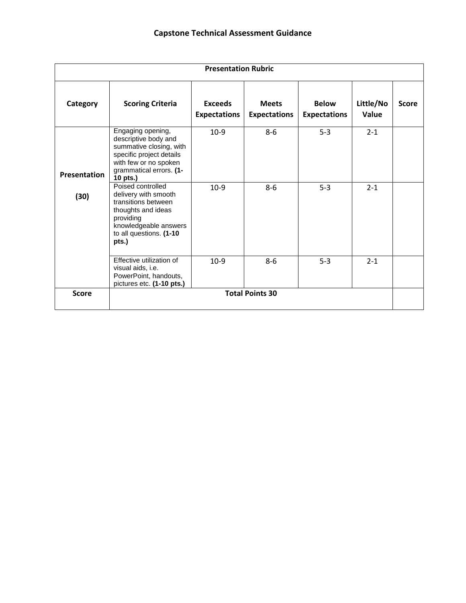| <b>Presentation Rubric</b> |                                                                                                                                                                  |                                       |                                     |                                     |                    |              |
|----------------------------|------------------------------------------------------------------------------------------------------------------------------------------------------------------|---------------------------------------|-------------------------------------|-------------------------------------|--------------------|--------------|
| Category                   | <b>Scoring Criteria</b>                                                                                                                                          | <b>Exceeds</b><br><b>Expectations</b> | <b>Meets</b><br><b>Expectations</b> | <b>Below</b><br><b>Expectations</b> | Little/No<br>Value | <b>Score</b> |
| Presentation               | Engaging opening,<br>descriptive body and<br>summative closing, with<br>specific project details<br>with few or no spoken<br>grammatical errors. (1-<br>10 pts.) | $10-9$                                | $8-6$                               | $5 - 3$                             | $2 - 1$            |              |
| (30)                       | Poised controlled<br>delivery with smooth<br>transitions between<br>thoughts and ideas<br>providing<br>knowledgeable answers<br>to all questions. (1-10<br>pts.) | $10-9$                                | $8-6$                               | $5 - 3$                             | $2 - 1$            |              |
|                            | Effective utilization of<br>visual aids, i.e.<br>PowerPoint, handouts,<br>pictures etc. (1-10 pts.)                                                              | $10-9$                                | $8-6$                               | $5 - 3$                             | $2 - 1$            |              |
| <b>Score</b>               | <b>Total Points 30</b>                                                                                                                                           |                                       |                                     |                                     |                    |              |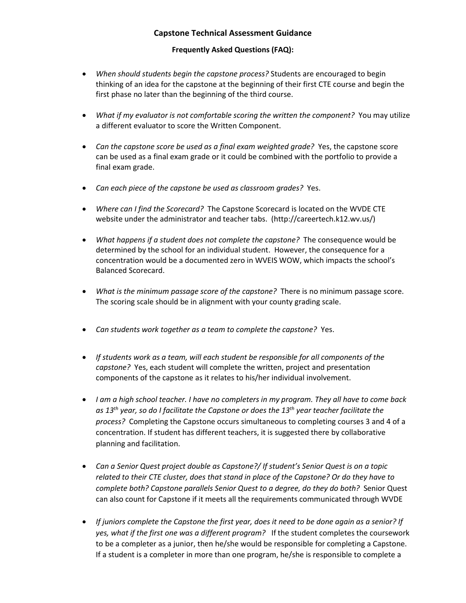### **Frequently Asked Questions (FAQ):**

- *When should students begin the capstone process?* Students are encouraged to begin thinking of an idea for the capstone at the beginning of their first CTE course and begin the first phase no later than the beginning of the third course.
- *What if my evaluator is not comfortable scoring the written the component?* You may utilize a different evaluator to score the Written Component.
- *Can the capstone score be used as a final exam weighted grade?* Yes, the capstone score can be used as a final exam grade or it could be combined with the portfolio to provide a final exam grade.
- *Can each piece of the capstone be used as classroom grades?* Yes.
- *Where can I find the Scorecard?* The Capstone Scorecard is located on the WVDE CTE website under the administrator and teacher tabs. (http://careertech.k12.wv.us/)
- *What happens if a student does not complete the capstone?* The consequence would be determined by the school for an individual student. However, the consequence for a concentration would be a documented zero in WVEIS WOW, which impacts the school's Balanced Scorecard.
- *What is the minimum passage score of the capstone?* There is no minimum passage score. The scoring scale should be in alignment with your county grading scale.
- *Can students work together as a team to complete the capstone?* Yes.
- *If students work as a team, will each student be responsible for all components of the capstone?* Yes, each student will complete the written, project and presentation components of the capstone as it relates to his/her individual involvement.
- *I am a high school teacher. I have no completers in my program. They all have to come back as 13th year, so do I facilitate the Capstone or does the 13th year teacher facilitate the process?* Completing the Capstone occurs simultaneous to completing courses 3 and 4 of a concentration. If student has different teachers, it is suggested there by collaborative planning and facilitation.
- *Can a Senior Quest project double as Capstone?/ If student's Senior Quest is on a topic related to their CTE cluster, does that stand in place of the Capstone? Or do they have to complete both? Capstone parallels Senior Quest to a degree, do they do both?* Senior Quest can also count for Capstone if it meets all the requirements communicated through WVDE
- *If juniors complete the Capstone the first year, does it need to be done again as a senior? If yes, what if the first one was a different program?* If the student completes the coursework to be a completer as a junior, then he/she would be responsible for completing a Capstone. If a student is a completer in more than one program, he/she is responsible to complete a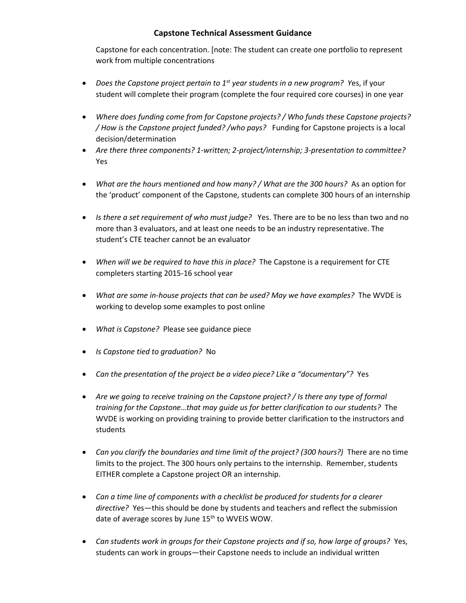Capstone for each concentration. [note: The student can create one portfolio to represent work from multiple concentrations

- *Does the Capstone project pertain to 1st year students in a new program? Y*es, if your student will complete their program (complete the four required core courses) in one year
- *Where does funding come from for Capstone projects? / Who funds these Capstone projects? / How is the Capstone project funded? /who pays?* Funding for Capstone projects is a local decision/determination
- *Are there three components? 1-written; 2-project/internship; 3-presentation to committee?*  Yes
- *What are the hours mentioned and how many? / What are the 300 hours?* As an option for the 'product' component of the Capstone, students can complete 300 hours of an internship
- *Is there a set requirement of who must judge?* Yes. There are to be no less than two and no more than 3 evaluators, and at least one needs to be an industry representative. The student's CTE teacher cannot be an evaluator
- *When will we be required to have this in place?* The Capstone is a requirement for CTE completers starting 2015-16 school year
- *What are some in-house projects that can be used? May we have examples?* The WVDE is working to develop some examples to post online
- *What is Capstone?* Please see guidance piece
- *Is Capstone tied to graduation?* No
- *Can the presentation of the project be a video piece? Like a "documentary"?* Yes
- *Are we going to receive training on the Capstone project? / Is there any type of formal training for the Capstone…that may guide us for better clarification to our students?* The WVDE is working on providing training to provide better clarification to the instructors and students
- Can you clarify the boundaries and time limit of the project? (300 hours?) There are no time limits to the project. The 300 hours only pertains to the internship. Remember, students EITHER complete a Capstone project OR an internship.
- *Can a time line of components with a checklist be produced for students for a clearer directive?* Yes—this should be done by students and teachers and reflect the submission date of average scores by June 15<sup>th</sup> to WVEIS WOW.
- *Can students work in groups for their Capstone projects and if so, how large of groups?* Yes, students can work in groups—their Capstone needs to include an individual written